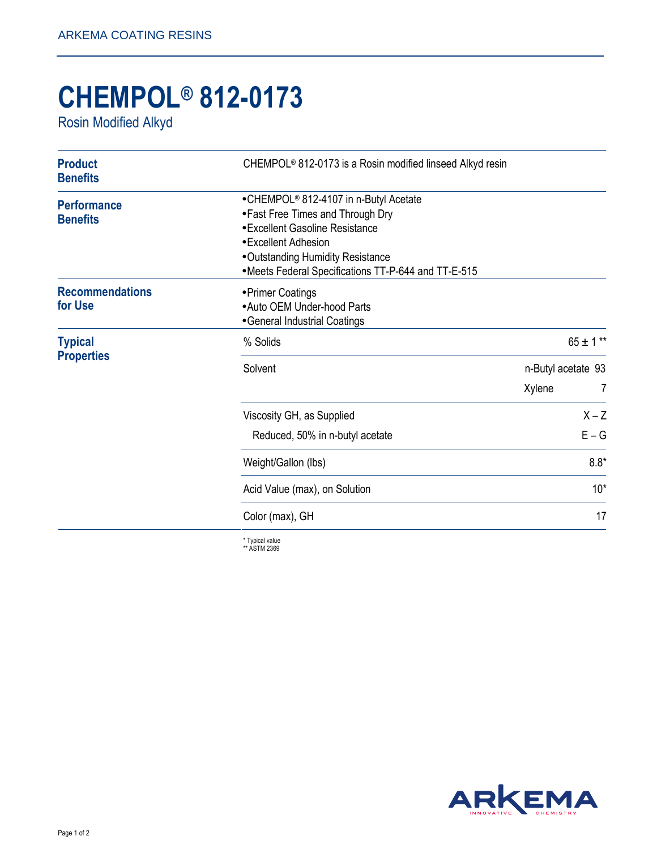## **CHEMPOL® 812-0173**

Rosin Modified Alkyd

| <b>Product</b><br><b>Benefits</b>     | CHEMPOL <sup>®</sup> 812-0173 is a Rosin modified linseed Alkyd resin                                                                                                                                                                         |                              |               |
|---------------------------------------|-----------------------------------------------------------------------------------------------------------------------------------------------------------------------------------------------------------------------------------------------|------------------------------|---------------|
| <b>Performance</b><br><b>Benefits</b> | •CHEMPOL <sup>®</sup> 812-4107 in n-Butyl Acetate<br>• Fast Free Times and Through Dry<br>• Excellent Gasoline Resistance<br>• Excellent Adhesion<br>• Outstanding Humidity Resistance<br>•Meets Federal Specifications TT-P-644 and TT-E-515 |                              |               |
| <b>Recommendations</b><br>for Use     | • Primer Coatings<br>• Auto OEM Under-hood Parts<br>• General Industrial Coatings                                                                                                                                                             |                              |               |
| <b>Typical</b><br><b>Properties</b>   | % Solids                                                                                                                                                                                                                                      |                              | $65 \pm 1$ ** |
|                                       | Solvent                                                                                                                                                                                                                                       | n-Butyl acetate 93<br>Xylene | 7             |
|                                       | Viscosity GH, as Supplied                                                                                                                                                                                                                     |                              | $X - Z$       |
|                                       | Reduced, 50% in n-butyl acetate                                                                                                                                                                                                               |                              | $E - G$       |
|                                       | Weight/Gallon (lbs)                                                                                                                                                                                                                           |                              | $8.8*$        |
|                                       | Acid Value (max), on Solution                                                                                                                                                                                                                 |                              | $10*$         |
|                                       | Color (max), GH                                                                                                                                                                                                                               |                              | 17            |
|                                       | * Tynical value                                                                                                                                                                                                                               |                              |               |

\* Typical value \*\* ASTM 2369